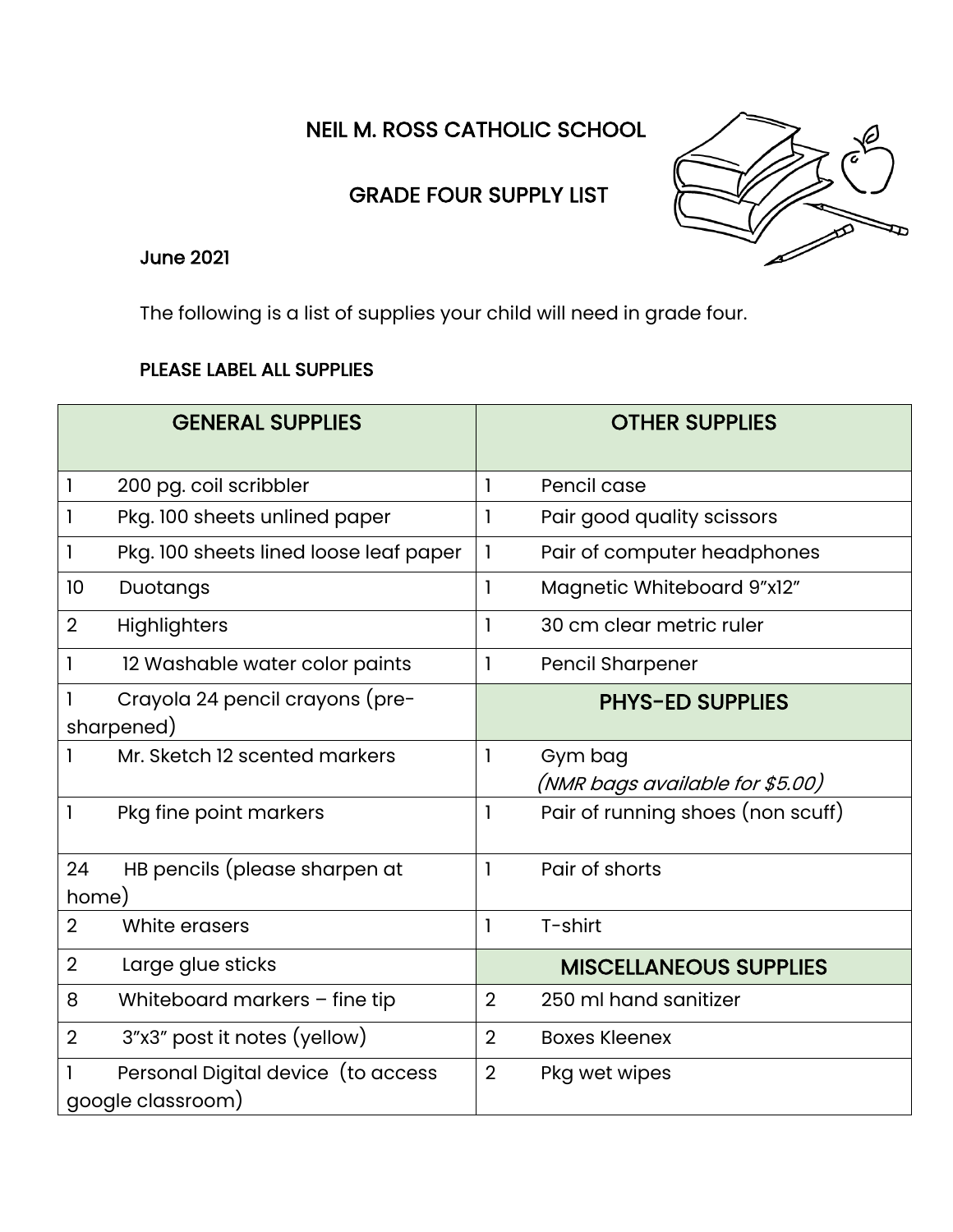NEIL M. ROSS CATHOLIC SCHOOL

## GRADE FOUR SUPPLY LIST



## June 2021

The following is a list of supplies your child will need in grade four.

## PLEASE LABEL ALL SUPPLIES

|                | <b>GENERAL SUPPLIES</b>                                 |                | <b>OTHER SUPPLIES</b>                      |
|----------------|---------------------------------------------------------|----------------|--------------------------------------------|
| 1              | 200 pg. coil scribbler                                  | 1              | Pencil case                                |
|                | Pkg. 100 sheets unlined paper                           | 1              | Pair good quality scissors                 |
| 1              | Pkg. 100 sheets lined loose leaf paper                  | 1              | Pair of computer headphones                |
| 10             | Duotangs                                                | 1              | Magnetic Whiteboard 9"x12"                 |
| $\overline{2}$ | Highlighters                                            | 1              | 30 cm clear metric ruler                   |
|                | 12 Washable water color paints                          | 1              | <b>Pencil Sharpener</b>                    |
|                | Crayola 24 pencil crayons (pre-<br>sharpened)           |                | <b>PHYS-ED SUPPLIES</b>                    |
|                | Mr. Sketch 12 scented markers                           | 1              | Gym bag<br>(NMR bags available for \$5.00) |
| 1              | Pkg fine point markers                                  | 1              | Pair of running shoes (non scuff)          |
| 24             | HB pencils (please sharpen at                           | $\mathbf{I}$   | Pair of shorts                             |
| home)          |                                                         |                |                                            |
| $\overline{2}$ | White erasers                                           | 1              | T-shirt                                    |
| $\overline{2}$ | Large glue sticks                                       |                | <b>MISCELLANEOUS SUPPLIES</b>              |
| 8              | Whiteboard markers - fine tip                           | $\overline{2}$ | 250 ml hand sanitizer                      |
| $\overline{2}$ | 3"x3" post it notes (yellow)                            | $\overline{2}$ | <b>Boxes Kleenex</b>                       |
|                | Personal Digital device (to access<br>google classroom) | $\overline{2}$ | Pkg wet wipes                              |